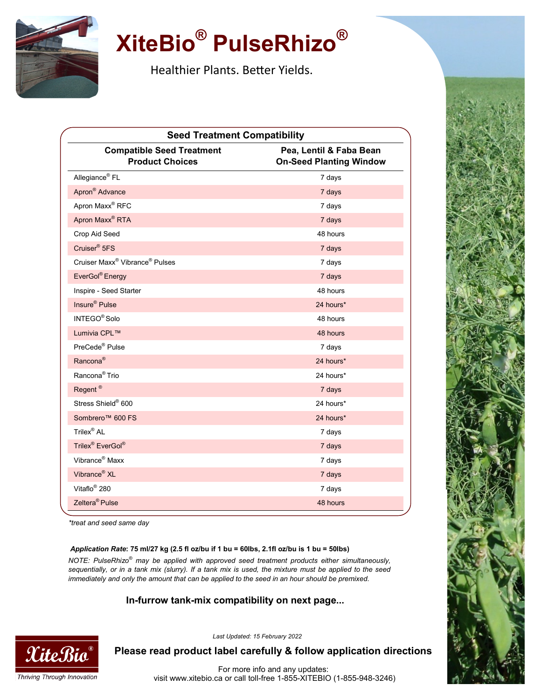

## **XiteBio® PulseRhizo®**

Healthier Plants. Better Yields.

| <b>Seed Treatment Compatibility</b>                        |                                                           |
|------------------------------------------------------------|-----------------------------------------------------------|
| <b>Compatible Seed Treatment</b><br><b>Product Choices</b> | Pea, Lentil & Faba Bean<br><b>On-Seed Planting Window</b> |
| Allegiance <sup>®</sup> FL                                 | 7 days                                                    |
| Apron <sup>®</sup> Advance                                 | 7 days                                                    |
| Apron Maxx <sup>®</sup> RFC                                | 7 days                                                    |
| Apron Maxx <sup>®</sup> RTA                                | 7 days                                                    |
| Crop Aid Seed                                              | 48 hours                                                  |
| Cruiser <sup>®</sup> 5FS                                   | 7 days                                                    |
| Cruiser Maxx <sup>®</sup> Vibrance <sup>®</sup> Pulses     | 7 days                                                    |
| EverGol® Energy                                            | 7 days                                                    |
| Inspire - Seed Starter                                     | 48 hours                                                  |
| Insure <sup>®</sup> Pulse                                  | 24 hours*                                                 |
| INTEGO <sup>®</sup> Solo                                   | 48 hours                                                  |
| Lumivia CPL™                                               | 48 hours                                                  |
| PreCede <sup>®</sup> Pulse                                 | 7 days                                                    |
| Rancona <sup>®</sup>                                       | 24 hours*                                                 |
| Rancona <sup>®</sup> Trio                                  | 24 hours*                                                 |
| Regent <sup>®</sup>                                        | 7 days                                                    |
| Stress Shield® 600                                         | 24 hours*                                                 |
| Sombrero <sup>™</sup> 600 FS                               | 24 hours*                                                 |
| Trilex <sup>®</sup> AL                                     | 7 days                                                    |
| Trilex <sup>®</sup> EverGol <sup>®</sup>                   | 7 days                                                    |
| Vibrance <sup>®</sup> Maxx                                 | 7 days                                                    |
| Vibrance <sup>®</sup> XL                                   | 7 days                                                    |
| Vitaflo <sup>®</sup> 280                                   | 7 days                                                    |
| Zeltera <sup>®</sup> Pulse                                 | 48 hours                                                  |

*\*treat and seed same day*

#### *Application Rate***: 75 ml/27 kg (2.5 fl oz/bu if 1 bu = 60lbs, 2.1fl oz/bu is 1 bu = 50lbs)**

*NOTE: PulseRhizo® may be applied with approved seed treatment products either simultaneously, sequentially, or in a tank mix (slurry). If a tank mix is used, the mixture must be applied to the seed immediately and only the amount that can be applied to the seed in an hour should be premixed.*

## **In-furrow tank-mix compatibility on next page...**



*Last Updated: 15 February 2022*

**Please read product label carefully & follow application directions**

For more info and any updates: visit www.xitebio.ca or call toll-free 1-855-XITEBIO (1-855-948-3246)